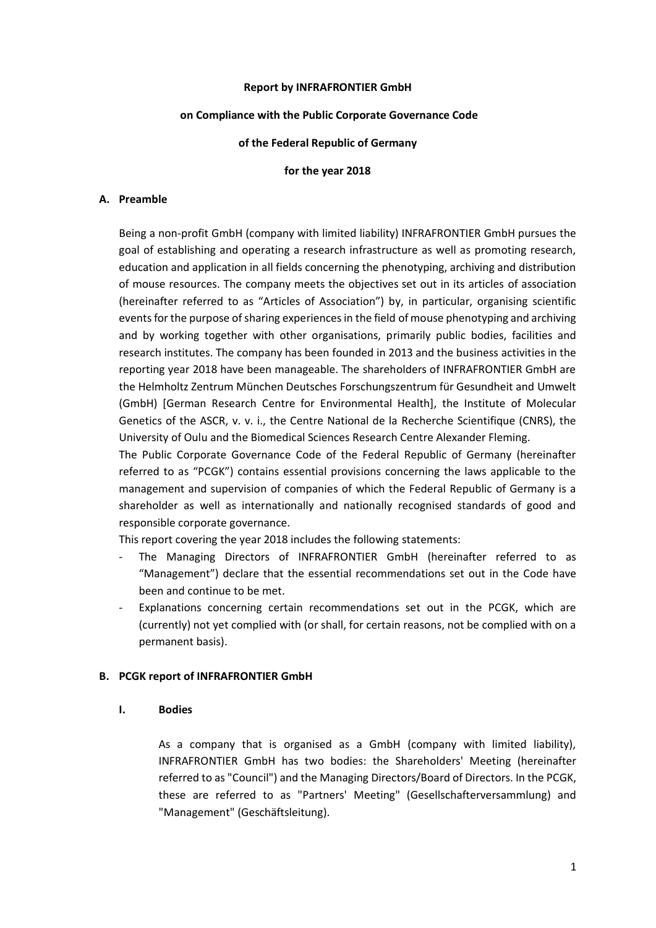### **Report by INFRAFRONTIER GmbH**

#### **on Compliance with the Public Corporate Governance Code**

### **of the Federal Republic of Germany**

### **for the year 2018**

### **A. Preamble**

Being a non-profit GmbH (company with limited liability) INFRAFRONTIER GmbH pursues the goal of establishing and operating a research infrastructure as well as promoting research, education and application in all fields concerning the phenotyping, archiving and distribution of mouse resources. The company meets the objectives set out in its articles of association (hereinafter referred to as "Articles of Association") by, in particular, organising scientific events for the purpose of sharing experiences in the field of mouse phenotyping and archiving and by working together with other organisations, primarily public bodies, facilities and research institutes. The company has been founded in 2013 and the business activities in the reporting year 2018 have been manageable. The shareholders of INFRAFRONTIER GmbH are the Helmholtz Zentrum München Deutsches Forschungszentrum für Gesundheit and Umwelt (GmbH) [German Research Centre for Environmental Health], the Institute of Molecular Genetics of the ASCR, v. v. i., the Centre National de la Recherche Scientifique (CNRS), the University of Oulu and the Biomedical Sciences Research Centre Alexander Fleming.

The Public Corporate Governance Code of the Federal Republic of Germany (hereinafter referred to as "PCGK") contains essential provisions concerning the laws applicable to the management and supervision of companies of which the Federal Republic of Germany is a shareholder as well as internationally and nationally recognised standards of good and responsible corporate governance.

This report covering the year 2018 includes the following statements:

- The Managing Directors of INFRAFRONTIER GmbH (hereinafter referred to as "Management") declare that the essential recommendations set out in the Code have been and continue to be met.
- Explanations concerning certain recommendations set out in the PCGK, which are (currently) not yet complied with (or shall, for certain reasons, not be complied with on a permanent basis).

### **B. PCGK report of INFRAFRONTIER GmbH**

#### **I. Bodies**

As a company that is organised as a GmbH (company with limited liability), INFRAFRONTIER GmbH has two bodies: the Shareholders' Meeting (hereinafter referred to as "Council") and the Managing Directors/Board of Directors. In the PCGK, these are referred to as "Partners' Meeting" (Gesellschafterversammlung) and "Management" (Geschäftsleitung).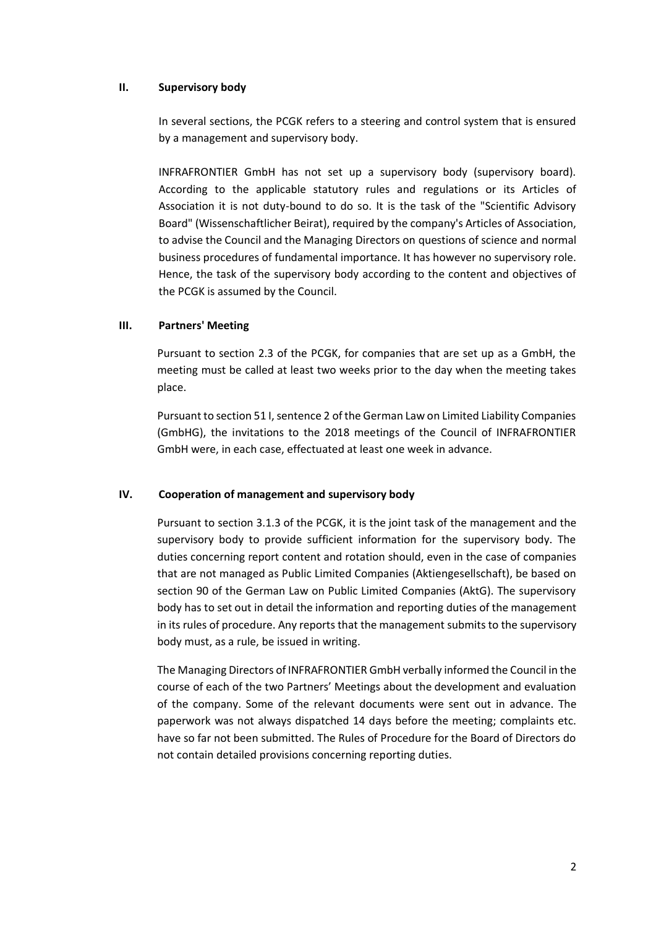## **II. Supervisory body**

In several sections, the PCGK refers to a steering and control system that is ensured by a management and supervisory body.

INFRAFRONTIER GmbH has not set up a supervisory body (supervisory board). According to the applicable statutory rules and regulations or its Articles of Association it is not duty-bound to do so. It is the task of the "Scientific Advisory Board" (Wissenschaftlicher Beirat), required by the company's Articles of Association, to advise the Council and the Managing Directors on questions of science and normal business procedures of fundamental importance. It has however no supervisory role. Hence, the task of the supervisory body according to the content and objectives of the PCGK is assumed by the Council.

# **III. Partners' Meeting**

Pursuant to section 2.3 of the PCGK, for companies that are set up as a GmbH, the meeting must be called at least two weeks prior to the day when the meeting takes place.

Pursuant to section 51 I, sentence 2 of the German Law on Limited Liability Companies (GmbHG), the invitations to the 2018 meetings of the Council of INFRAFRONTIER GmbH were, in each case, effectuated at least one week in advance.

### **IV. Cooperation of management and supervisory body**

Pursuant to section 3.1.3 of the PCGK, it is the joint task of the management and the supervisory body to provide sufficient information for the supervisory body. The duties concerning report content and rotation should, even in the case of companies that are not managed as Public Limited Companies (Aktiengesellschaft), be based on section 90 of the German Law on Public Limited Companies (AktG). The supervisory body has to set out in detail the information and reporting duties of the management in its rules of procedure. Any reports that the management submits to the supervisory body must, as a rule, be issued in writing.

The Managing Directors of INFRAFRONTIER GmbH verbally informed the Council in the course of each of the two Partners' Meetings about the development and evaluation of the company. Some of the relevant documents were sent out in advance. The paperwork was not always dispatched 14 days before the meeting; complaints etc. have so far not been submitted. The Rules of Procedure for the Board of Directors do not contain detailed provisions concerning reporting duties.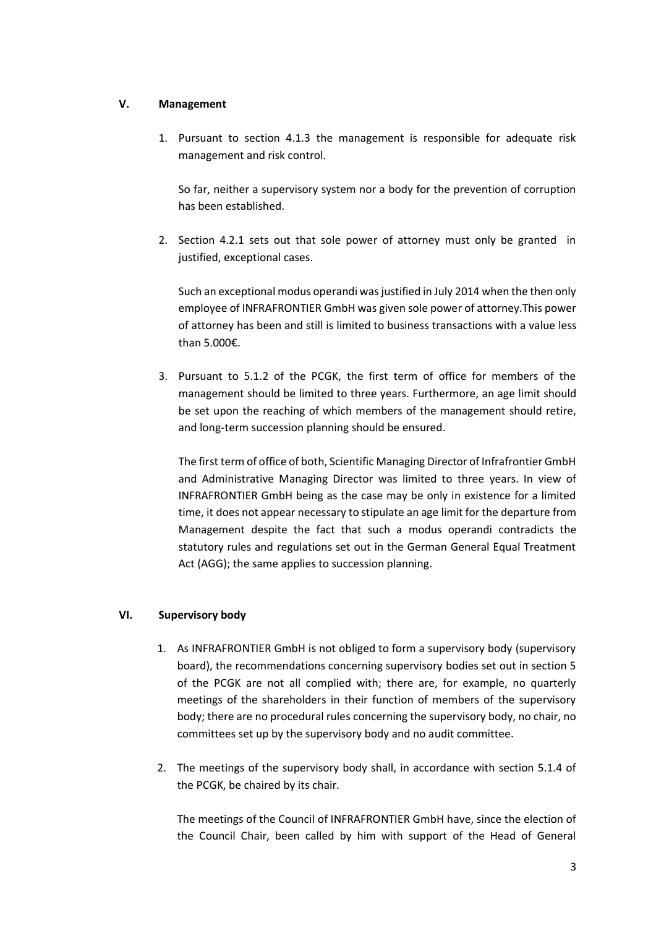# **V. Management**

1. Pursuant to section 4.1.3 the management is responsible for adequate risk management and risk control.

So far, neither a supervisory system nor a body for the prevention of corruption has been established.

2. Section 4.2.1 sets out that sole power of attorney must only be granted in justified, exceptional cases.

Such an exceptional modus operandi was justified in July 2014 when the then only employee of INFRAFRONTIER GmbH was given sole power of attorney.This power of attorney has been and still is limited to business transactions with a value less than 5.000€.

3. Pursuant to 5.1.2 of the PCGK, the first term of office for members of the management should be limited to three years. Furthermore, an age limit should be set upon the reaching of which members of the management should retire, and long-term succession planning should be ensured.

The first term of office of both, Scientific Managing Director of Infrafrontier GmbH and Administrative Managing Director was limited to three years. In view of INFRAFRONTIER GmbH being as the case may be only in existence for a limited time, it does not appear necessary to stipulate an age limit for the departure from Management despite the fact that such a modus operandi contradicts the statutory rules and regulations set out in the German General Equal Treatment Act (AGG); the same applies to succession planning.

### **VI. Supervisory body**

- 1. As INFRAFRONTIER GmbH is not obliged to form a supervisory body (supervisory board), the recommendations concerning supervisory bodies set out in section 5 of the PCGK are not all complied with; there are, for example, no quarterly meetings of the shareholders in their function of members of the supervisory body; there are no procedural rules concerning the supervisory body, no chair, no committees set up by the supervisory body and no audit committee.
- 2. The meetings of the supervisory body shall, in accordance with section 5.1.4 of the PCGK, be chaired by its chair.

The meetings of the Council of INFRAFRONTIER GmbH have, since the election of the Council Chair, been called by him with support of the Head of General